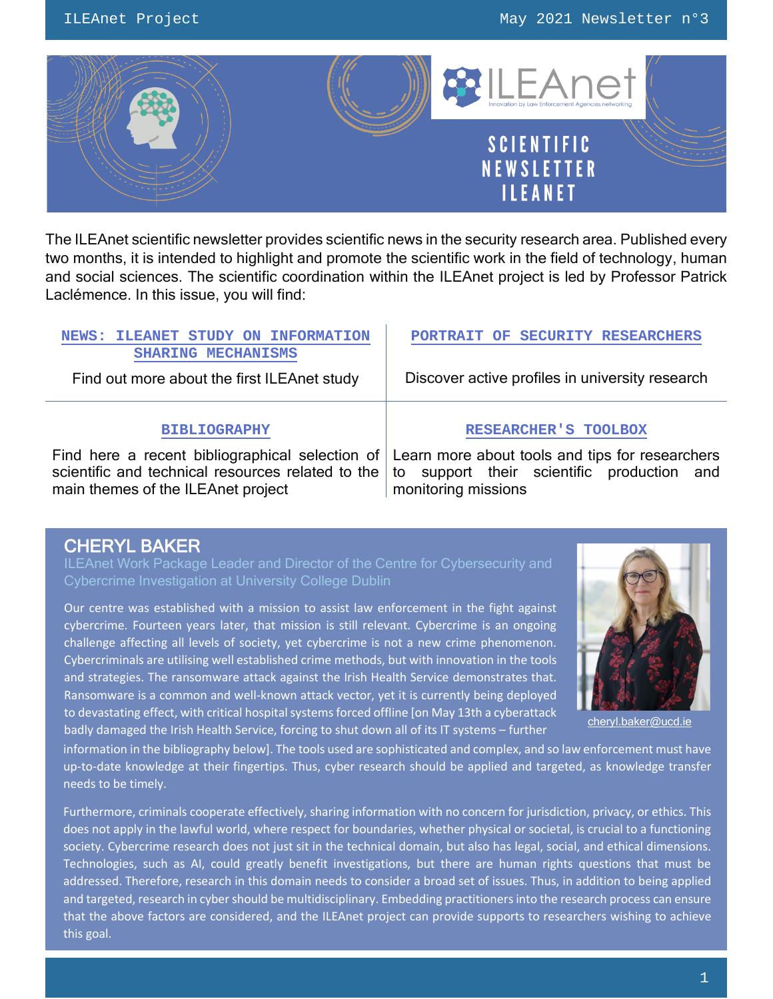

The ILEAnet scientific newsletter provides scientific news in the security research area. Published every two months, it is intended to highlight and promote the scientific work in the field of technology, human and social sciences. The scientific coordination within the ILEAnet project is led by Professor Patrick Laclémence. In this issue, you will find:

| <b>NEWS: ILEANET STUDY ON INFORMATION</b><br><b>SHARING MECHANISMS</b>                                                                                                                     | PORTRAIT OF SECURITY RESEARCHERS                                     |
|--------------------------------------------------------------------------------------------------------------------------------------------------------------------------------------------|----------------------------------------------------------------------|
| Find out more about the first ILEAnet study                                                                                                                                                | Discover active profiles in university research                      |
| <b>BIBLIOGRAPHY</b>                                                                                                                                                                        | <b>RESEARCHER'S TOOLBOX</b>                                          |
| Find here a recent bibliographical selection of Learn more about tools and tips for researchers<br>scientific and technical resources related to the<br>main themes of the ILEAnet project | support their scientific production and<br>to<br>monitoring missions |

# CHERYL BAKER

ILEAnet Work Package Leader and Director of the Centre for Cybersecurity and Cybercrime Investigation at University College Dublin

Our centre was established with a mission to assist law enforcement in the fight against cybercrime. Fourteen years later, that mission is still relevant. Cybercrime is an ongoing challenge affecting all levels of society, yet cybercrime is not a new crime phenomenon. Cybercriminals are utilising well established crime methods, but with innovation in the tools and strategies. The ransomware attack against the Irish Health Service demonstrates that. Ransomware is a common and well-known attack vector, yet it is currently being deployed to devastating effect, with critical hospital systems forced offline [on May 13th a cyberattack badly damaged the Irish Health Service, forcing to shut down all of its IT systems – further [cheryl.baker@ucd.ie](mailto:cheryl.baker@ucd.ie)<br>badly damaged the Irish Health Service, forcing to shut down all of its IT systems – further



information in the bibliography below]. The tools used are sophisticated and complex, and so law enforcement must have up-to-date knowledge at their fingertips. Thus, cyber research should be applied and targeted, as knowledge transfer needs to be timely.

Furthermore, criminals cooperate effectively, sharing information with no concern for jurisdiction, privacy, or ethics. This does not apply in the lawful world, where respect for boundaries, whether physical or societal, is crucial to a functioning society. Cybercrime research does not just sit in the technical domain, but also has legal, social, and ethical dimensions. Technologies, such as AI, could greatly benefit investigations, but there are human rights questions that must be addressed. Therefore, research in this domain needs to consider a broad set of issues. Thus, in addition to being applied and targeted, research in cyber should be multidisciplinary. Embedding practitioners into the research process can ensure that the above factors are considered, and the ILEAnet project can provide supports to researchers wishing to achieve this goal.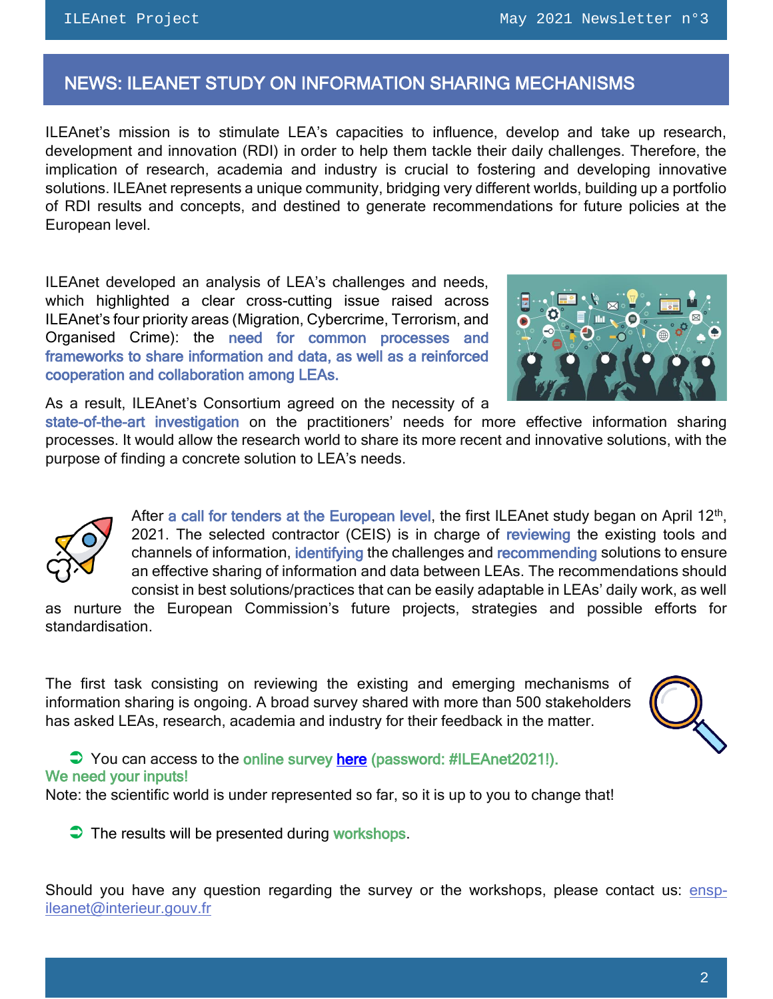# <span id="page-1-0"></span>NEWS: ILEANET STUDY ON INFORMATION SHARING MECHANISMS

ILEAnet's mission is to stimulate LEA's capacities to influence, develop and take up research, development and innovation (RDI) in order to help them tackle their daily challenges. Therefore, the implication of research, academia and industry is crucial to fostering and developing innovative solutions. ILEAnet represents a unique community, bridging very different worlds, building up a portfolio of RDI results and concepts, and destined to generate recommendations for future policies at the European level.

ILEAnet developed an analysis of LEA's challenges and needs, which highlighted a clear cross-cutting issue raised across ILEAnet's four priority areas (Migration, Cybercrime, Terrorism, and Organised Crime): the need for common processes and frameworks to share information and data, as well as a reinforced cooperation and collaboration among LEAs.



As a result, ILEAnet's Consortium agreed on the necessity of a

state-of-the-art investigation on the practitioners' needs for more effective information sharing processes. It would allow the research world to share its more recent and innovative solutions, with the purpose of finding a concrete solution to LEA's needs.



After a call for tenders at the European level, the first ILEAnet study began on April 12<sup>th</sup>, 2021. The selected contractor (CEIS) is in charge of reviewing the existing tools and channels of information, identifying the challenges and recommending solutions to ensure an effective sharing of information and data between LEAs. The recommendations should consist in best solutions/practices that can be easily adaptable in LEAs' daily work, as well

as nurture the European Commission's future projects, strategies and possible efforts for standardisation.

The first task consisting on reviewing the existing and emerging mechanisms of information sharing is ongoing. A broad survey shared with more than 500 stakeholders has asked LEAs, research, academia and industry for their feedback in the matter.



 $\bigcirc$  You can access to the online survey [here](https://docs.google.com/forms/d/e/1FAIpQLSe1J1qc4UzmFD6IedfMlsyX0Lq3jNx9DxZhQl2ZPyUWw-plKA/viewform?usp=sf_link) (password: #ILEAnet2021!). We need your inputs!

Note: the scientific world is under represented so far, so it is up to you to change that!

 $\bullet$  The results will be presented during workshops.

Should you have any question regarding the survey or the workshops, please contact us: [ensp](mailto:ensp-ileanet@interieur.gouv.fr)[ileanet@interieur.gouv.fr](mailto:ensp-ileanet@interieur.gouv.fr)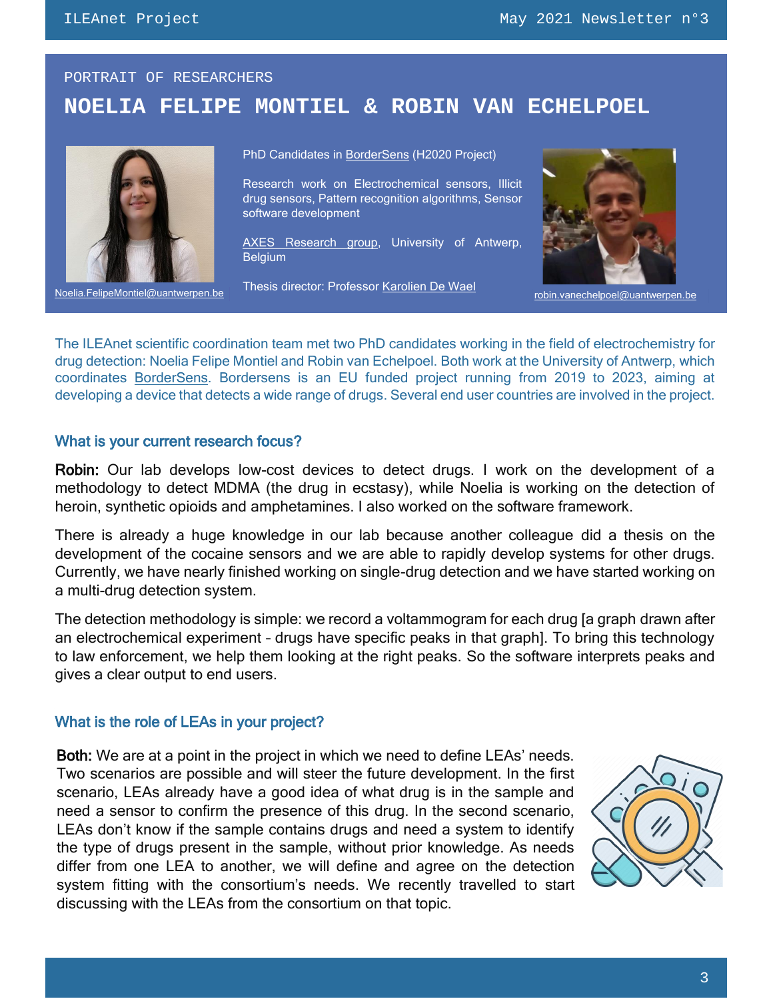# <span id="page-2-0"></span>PORTRAIT OF RESEARCHERS **NOELIA FELIPE MONTIEL & ROBIN VAN ECHELPOEL**



Noelia.FelipeMontiel@uantwerpen.be russis unscront in oressor <u>reaturent De wast</u> robin.vanechelpoel@uantwerpen.be

PhD Candidates in <u>BorderSens</u> (H2020 Project)

Research work on Electrochemical sensors, Illicit drug sensors, Pattern recognition algorithms, Sensor software development

[AXES Research group,](https://www.uantwerpen.be/en/research-groups/axes/electro-chemical-analysis/) University of Antwerp, **Belgium** 

Thesis director: Professor [Karolien De Wael](https://www.uantwerpen.be/nl/personeel/karolien-dewael/onderzoek/)



The ILEAnet scientific coordination team met two PhD candidates working in the field of electrochemistry for drug detection: Noelia Felipe Montiel and Robin van Echelpoel. Both work at the University of Antwerp, which coordinates [BorderSens.](http://bordersens.eu/) Bordersens is an EU funded project running from 2019 to 2023, aiming at developing a device that detects a wide range of drugs. Several end user countries are involved in the project.

#### What is your current research focus?

Robin: Our lab develops low-cost devices to detect drugs. I work on the development of a methodology to detect MDMA (the drug in ecstasy), while Noelia is working on the detection of heroin, synthetic opioids and amphetamines. I also worked on the software framework.

There is already a huge knowledge in our lab because another colleague did a thesis on the development of the cocaine sensors and we are able to rapidly develop systems for other drugs. Currently, we have nearly finished working on single-drug detection and we have started working on a multi-drug detection system.

The detection methodology is simple: we record a voltammogram for each drug [a graph drawn after an electrochemical experiment – drugs have specific peaks in that graph]. To bring this technology to law enforcement, we help them looking at the right peaks. So the software interprets peaks and gives a clear output to end users.

## What is the role of LEAs in your project?

Both: We are at a point in the project in which we need to define LEAs' needs. Two scenarios are possible and will steer the future development. In the first scenario, LEAs already have a good idea of what drug is in the sample and need a sensor to confirm the presence of this drug. In the second scenario, LEAs don't know if the sample contains drugs and need a system to identify the type of drugs present in the sample, without prior knowledge. As needs differ from one LEA to another, we will define and agree on the detection system fitting with the consortium's needs. We recently travelled to start discussing with the LEAs from the consortium on that topic.

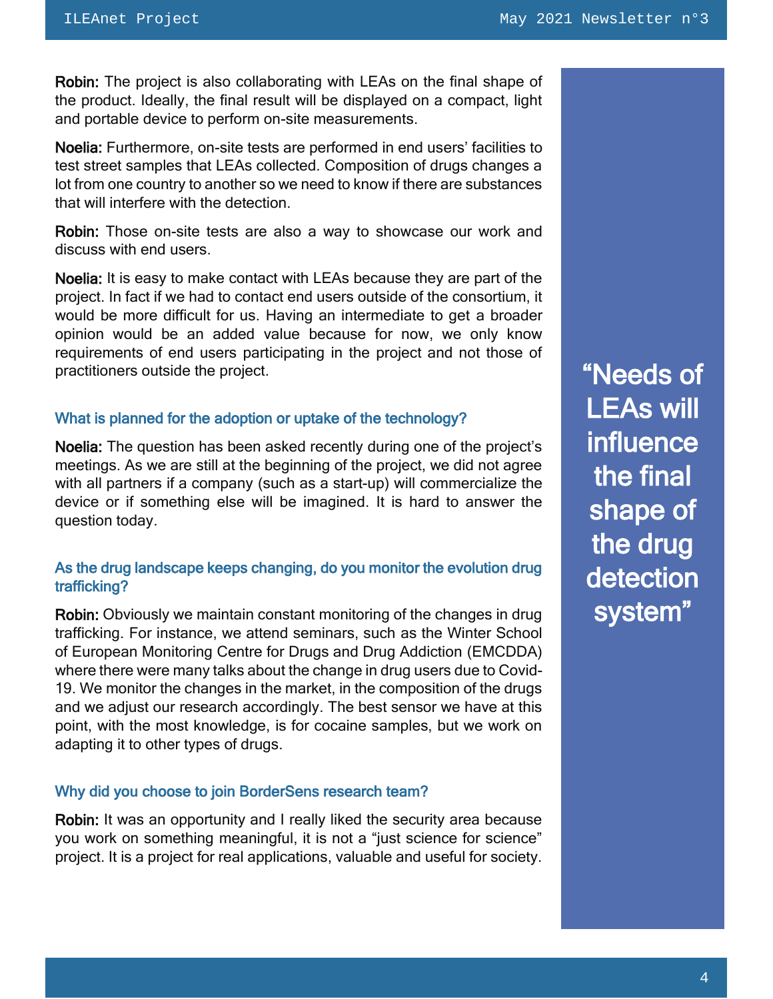Robin: The project is also collaborating with LEAs on the final shape of the product. Ideally, the final result will be displayed on a compact, light and portable device to perform on-site measurements.

Noelia: Furthermore, on-site tests are performed in end users' facilities to test street samples that LEAs collected. Composition of drugs changes a lot from one country to another so we need to know if there are substances that will interfere with the detection.

Robin: Those on-site tests are also a way to showcase our work and discuss with end users.

Noelia: It is easy to make contact with LEAs because they are part of the project. In fact if we had to contact end users outside of the consortium, it would be more difficult for us. Having an intermediate to get a broader opinion would be an added value because for now, we only know requirements of end users participating in the project and not those of practitioners outside the project.

#### What is planned for the adoption or uptake of the technology?

Noelia: The question has been asked recently during one of the project's meetings. As we are still at the beginning of the project, we did not agree with all partners if a company (such as a start-up) will commercialize the device or if something else will be imagined. It is hard to answer the question today.

## As the drug landscape keeps changing, do you monitor the evolution drug trafficking?

Robin: Obviously we maintain constant monitoring of the changes in drug trafficking. For instance, we attend seminars, such as the Winter School of European Monitoring Centre for Drugs and Drug Addiction (EMCDDA) where there were many talks about the change in drug users due to Covid-19. We monitor the changes in the market, in the composition of the drugs and we adjust our research accordingly. The best sensor we have at this point, with the most knowledge, is for cocaine samples, but we work on adapting it to other types of drugs.

## Why did you choose to join BorderSens research team?

Robin: It was an opportunity and I really liked the security area because you work on something meaningful, it is not a "just science for science" project. It is a project for real applications, valuable and useful for society. "Needs of LEAs will influence the final shape of the drug detection system"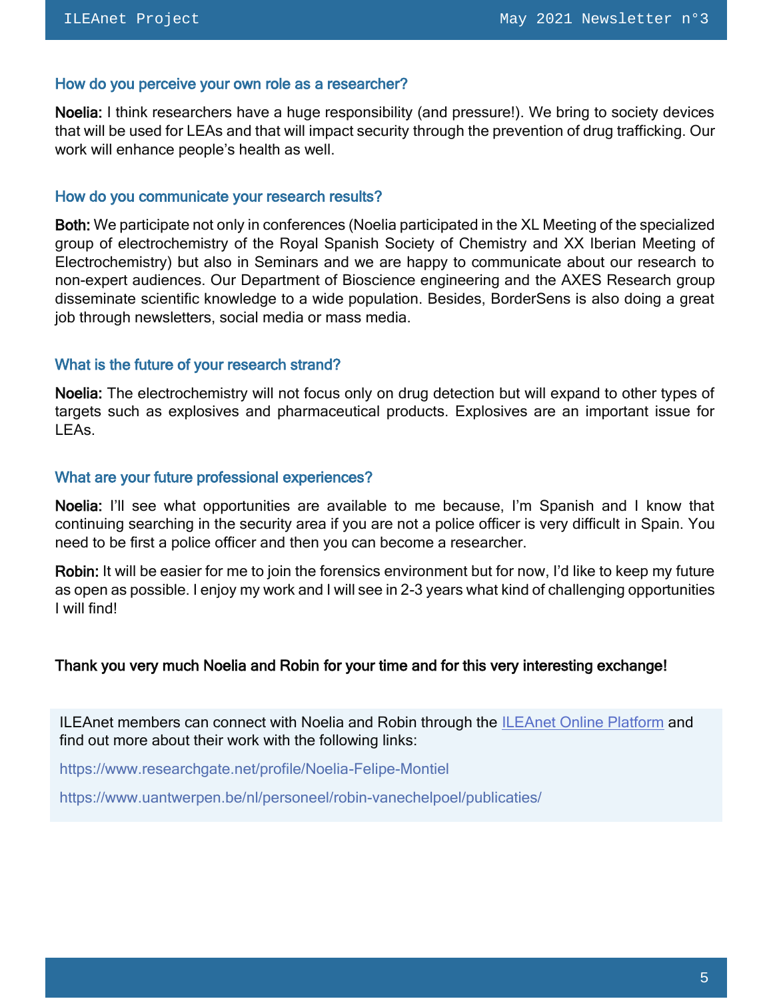#### How do you perceive your own role as a researcher?

Noelia: I think researchers have a huge responsibility (and pressure!). We bring to society devices that will be used for LEAs and that will impact security through the prevention of drug trafficking. Our work will enhance people's health as well.

#### How do you communicate your research results?

Both: We participate not only in conferences (Noelia participated in the XL Meeting of the specialized group of electrochemistry of the Royal Spanish Society of Chemistry and XX Iberian Meeting of Electrochemistry) but also in Seminars and we are happy to communicate about our research to non-expert audiences. Our Department of Bioscience engineering and the AXES Research group disseminate scientific knowledge to a wide population. Besides, BorderSens is also doing a great job through newsletters, social media or mass media.

## What is the future of your research strand?

Noelia: The electrochemistry will not focus only on drug detection but will expand to other types of targets such as explosives and pharmaceutical products. Explosives are an important issue for LEAs.

#### What are your future professional experiences?

Noelia: I'll see what opportunities are available to me because, I'm Spanish and I know that continuing searching in the security area if you are not a police officer is very difficult in Spain. You need to be first a police officer and then you can become a researcher.

Robin: It will be easier for me to join the forensics environment but for now, I'd like to keep my future as open as possible. I enjoy my work and I will see in 2-3 years what kind of challenging opportunities I will find!

## Thank you very much Noelia and Robin for your time and for this very interesting exchange!

ILEAnet members can connect with Noelia and Robin through the [ILEAnet Online Platform](https://ileanet.sym.place/dashboard) and find out more about their work with the following links:

<https://www.researchgate.net/profile/Noelia-Felipe-Montiel>

<https://www.uantwerpen.be/nl/personeel/robin-vanechelpoel/publicaties/>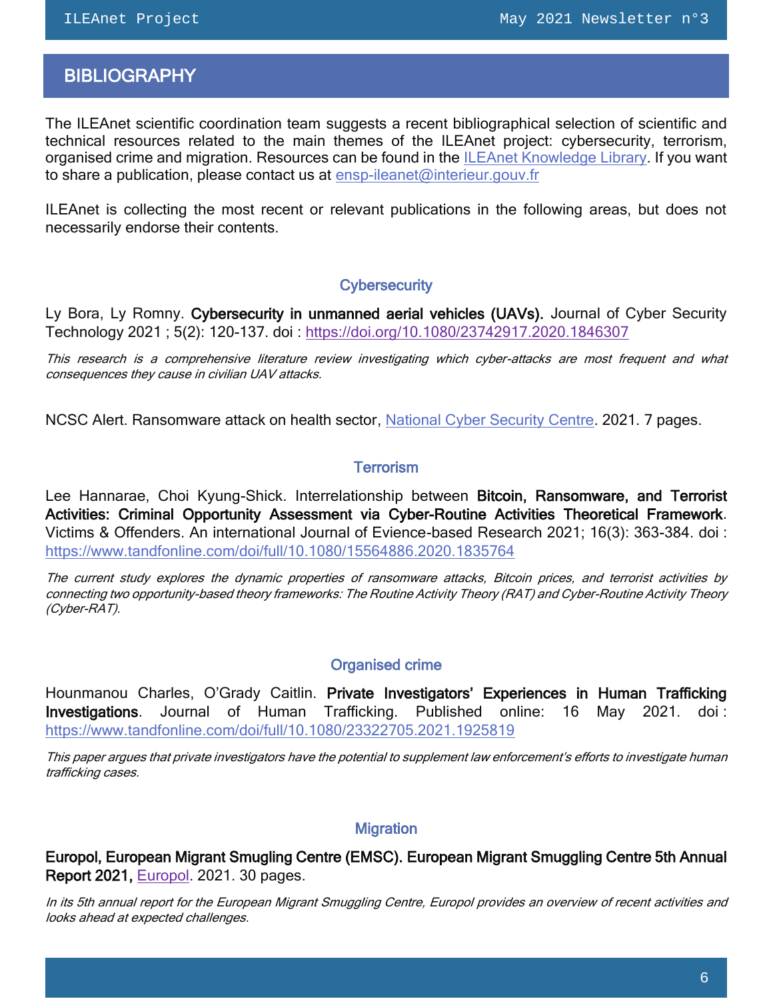# <span id="page-5-0"></span>**BIBLIOGRAPHY**

The ILEAnet scientific coordination team suggests a recent bibliographical selection of scientific and technical resources related to the main themes of the ILEAnet project: cybersecurity, terrorism, organised crime and migration. Resources can be found in the [ILEAnet Knowledge Library.](https://ileanet.sym.place/groups/profile/109443/ileanet-knowledge-factory) If you want to share a publication, please contact us at [ensp-ileanet@interieur.gouv.fr](mailto:ensp-ileanet@interieur.gouv.fr)

ILEAnet is collecting the most recent or relevant publications in the following areas, but does not necessarily endorse their contents.

## **Cybersecurity**

Ly Bora, Ly Romny. Cybersecurity in unmanned aerial vehicles (UAVs). Journal of Cyber Security Technology 2021 ; 5(2): 120-137. doi :<https://doi.org/10.1080/23742917.2020.1846307>

This research is a comprehensive literature review investigating which cyber-attacks are most frequent and what consequences they cause in civilian UAV attacks.

NCSC Alert. Ransomware attack on health sector, [National Cyber Security Centre.](https://www.ncsc.gov.ie/pdfs/HSE_Conti_140521_UPDATE.pdf) 2021. 7 pages.

## **Terrorism**

Lee Hannarae, Choi Kyung-Shick. Interrelationship between Bitcoin, Ransomware, and Terrorist Activities: Criminal Opportunity Assessment via Cyber-Routine Activities Theoretical Framework. Victims & Offenders. An international Journal of Evience-based Research 2021; 16(3): 363-384. doi : <https://www.tandfonline.com/doi/full/10.1080/15564886.2020.1835764>

The current study explores the dynamic properties of ransomware attacks, Bitcoin prices, and terrorist activities by connecting two opportunity-based theory frameworks: The Routine Activity Theory (RAT) and Cyber-Routine Activity Theory (Cyber-RAT).

## Organised crime

Hounmanou Charles, O'Grady Caitlin. Private Investigators' Experiences in Human Trafficking Investigations. Journal of Human Trafficking. Published online: 16 May 2021. doi : <https://www.tandfonline.com/doi/full/10.1080/23322705.2021.1925819>

This paper argues that private investigators have the potential to supplement law enforcement's efforts to investigate human trafficking cases.

## **Migration**

Europol, European Migrant Smugling Centre (EMSC). European Migrant Smuggling Centre 5th Annual Report 2021, [Europol.](https://www.europol.europa.eu/publications-documents/european-migrant-smuggling-centre-5th-annual-report-%E2%80%93-2021) 2021. 30 pages.

In its 5th annual report for the European Migrant Smuggling Centre, Europol provides an overview of recent activities and looks ahead at expected challenges.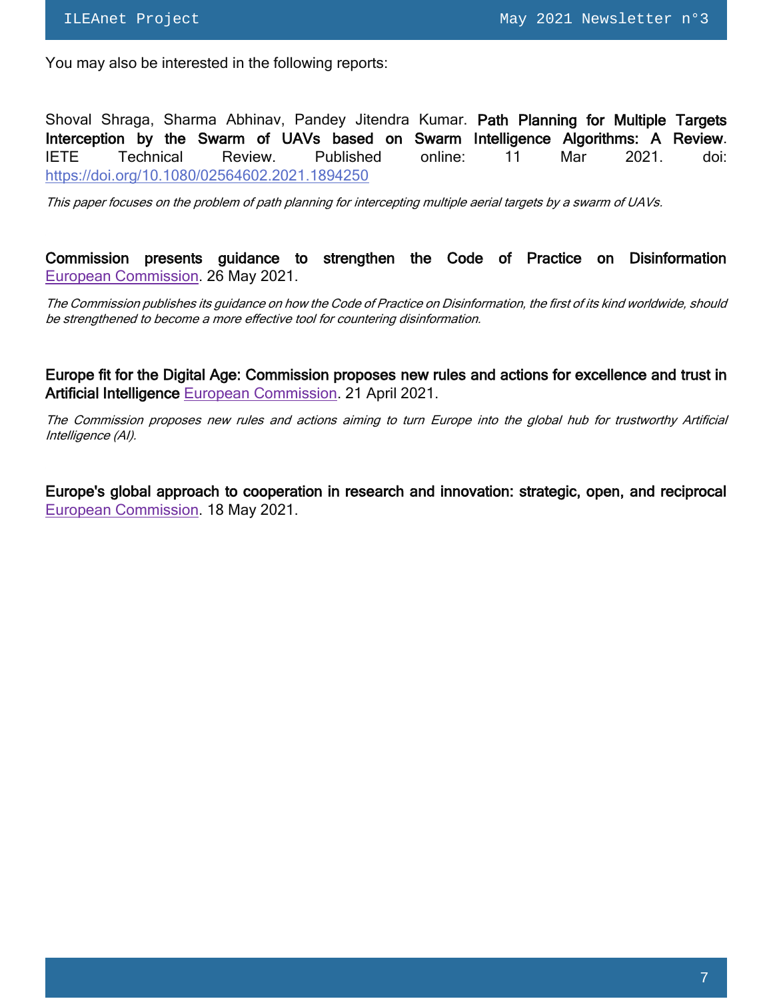You may also be interested in the following reports:

Shoval Shraga, Sharma Abhinav, Pandey Jitendra Kumar. Path Planning for Multiple Targets Interception by the Swarm of UAVs based on Swarm Intelligence Algorithms: A Review. IETE Technical Review. Published online: 11 Mar 2021. doi: <https://doi.org/10.1080/02564602.2021.1894250>

This paper focuses on the problem of path planning for intercepting multiple aerial targets by a swarm of UAVs.

Commission presents guidance to strengthen the Code of Practice on Disinformation [European Commission.](https://ec.europa.eu/commission/presscorner/detail/en/IP_21_2585) 26 May 2021.

The Commission publishes its guidance on how the Code of Practice on Disinformation, the first of its kind worldwide, should be strengthened to become a more effective tool for countering disinformation.

Europe fit for the Digital Age: Commission proposes new rules and actions for excellence and trust in Artificial Intelligence [European Commission.](https://ec.europa.eu/commission/presscorner/detail/en/IP_21_1682) 21 April 2021.

The Commission proposes new rules and actions aiming to turn Europe into the global hub for trustworthy Artificial Intelligence (AI).

Europe's global approach to cooperation in research and innovation: strategic, open, and reciprocal [European Commission.](https://ec.europa.eu/commission/presscorner/detail/en/IP_21_2465) 18 May 2021.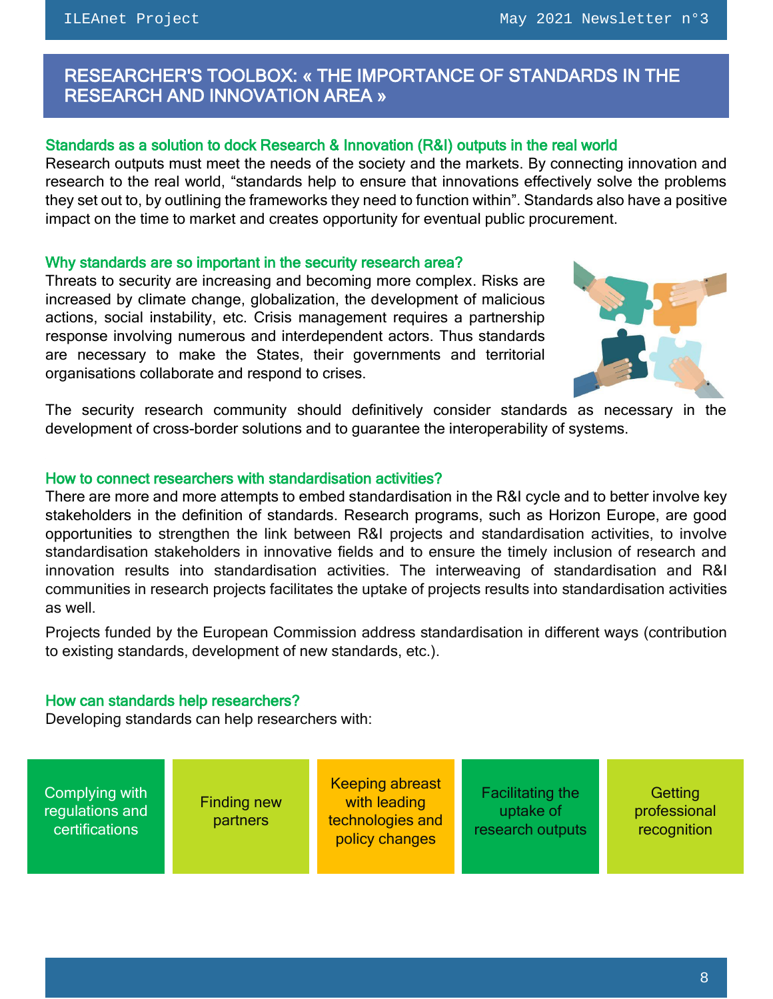# <span id="page-7-0"></span> RESEARCHER'S TOOLBOX: « THE IMPORTANCE OF STANDARDS IN THE RESEARCH AND INNOVATION AREA »

## Standards as a solution to dock Research & Innovation (R&I) outputs in the real world

Research outputs must meet the needs of the society and the markets. By connecting innovation and research to the real world, "standards help to ensure that innovations effectively solve the problems they set out to, by outlining the frameworks they need to function within". Standards also have a positive impact on the time to market and creates opportunity for eventual public procurement.

#### Why standards are so important in the security research area?

Threats to security are increasing and becoming more complex. Risks are increased by climate change, globalization, the development of malicious actions, social instability, etc. Crisis management requires a partnership response involving numerous and interdependent actors. Thus standards are necessary to make the States, their governments and territorial organisations collaborate and respond to crises.



The security research community should definitively consider standards as necessary in the development of cross-border solutions and to guarantee the interoperability of systems.

#### How to connect researchers with standardisation activities?

There are more and more attempts to embed standardisation in the R&I cycle and to better involve key stakeholders in the definition of standards. Research programs, such as Horizon Europe, are good opportunities to strengthen the link between R&I projects and standardisation activities, to involve standardisation stakeholders in innovative fields and to ensure the timely inclusion of research and innovation results into standardisation activities. The interweaving of standardisation and R&I communities in research projects facilitates the uptake of projects results into standardisation activities as well.

Projects funded by the European Commission address standardisation in different ways (contribution to existing standards, development of new standards, etc.).

## How can standards help researchers?

Developing standards can help researchers with:

Complying with regulations and **certifications** Finding new **partners** Keeping abreast with leading technologies and policy changes Facilitating the uptake of research outputs

**Getting** professional recognition